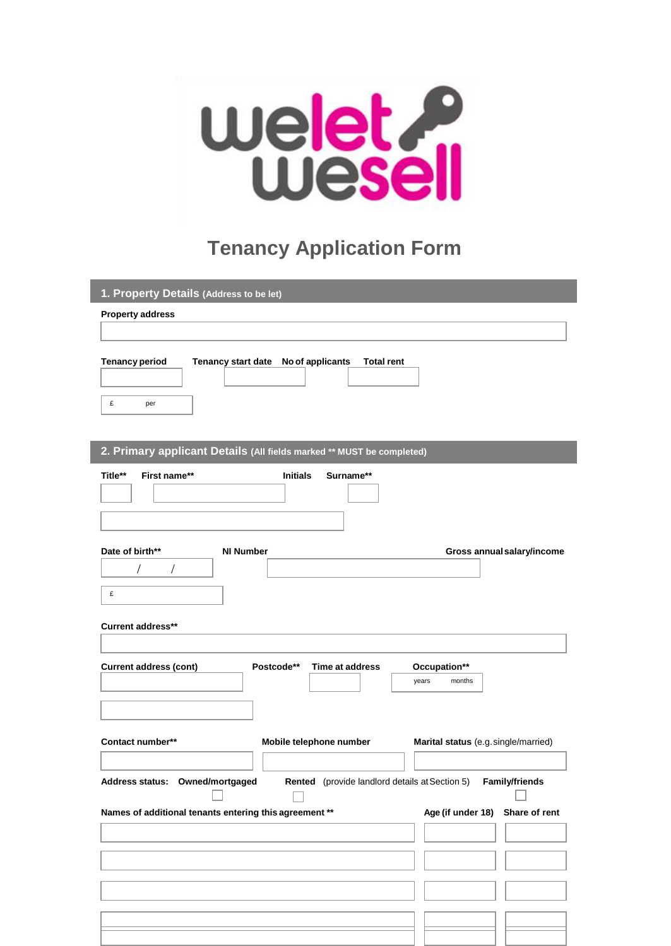

## **Tenancy Application Form**

| 1. Property Details (Address to be let)                                                  |                                      |
|------------------------------------------------------------------------------------------|--------------------------------------|
| <b>Property address</b>                                                                  |                                      |
|                                                                                          |                                      |
| <b>Tenancy period</b><br>Tenancy start date No of applicants<br><b>Total rent</b>        |                                      |
|                                                                                          |                                      |
| £<br>per                                                                                 |                                      |
|                                                                                          |                                      |
| 2. Primary applicant Details (All fields marked ** MUST be completed)                    |                                      |
| First name**<br>Surname**<br>Title**<br><b>Initials</b>                                  |                                      |
|                                                                                          |                                      |
|                                                                                          |                                      |
| Date of birth**<br><b>NI Number</b>                                                      | Gross annual salary/income           |
| $\sqrt{2}$<br>$\sqrt{2}$                                                                 |                                      |
| £                                                                                        |                                      |
| <b>Current address**</b>                                                                 |                                      |
|                                                                                          |                                      |
| <b>Current address (cont)</b><br>Postcode**<br>Time at address                           | Occupation**<br>years<br>months      |
|                                                                                          |                                      |
|                                                                                          |                                      |
| Contact number**<br>Mobile telephone number                                              | Marital status (e.g. single/married) |
|                                                                                          |                                      |
| Address status: Owned/mortgaged<br><b>Rented</b> (provide landlord details at Section 5) | <b>Family/friends</b>                |
| Names of additional tenants entering this agreement **                                   | Age (if under 18) Share of rent      |
|                                                                                          |                                      |
|                                                                                          |                                      |
|                                                                                          |                                      |
|                                                                                          |                                      |
|                                                                                          |                                      |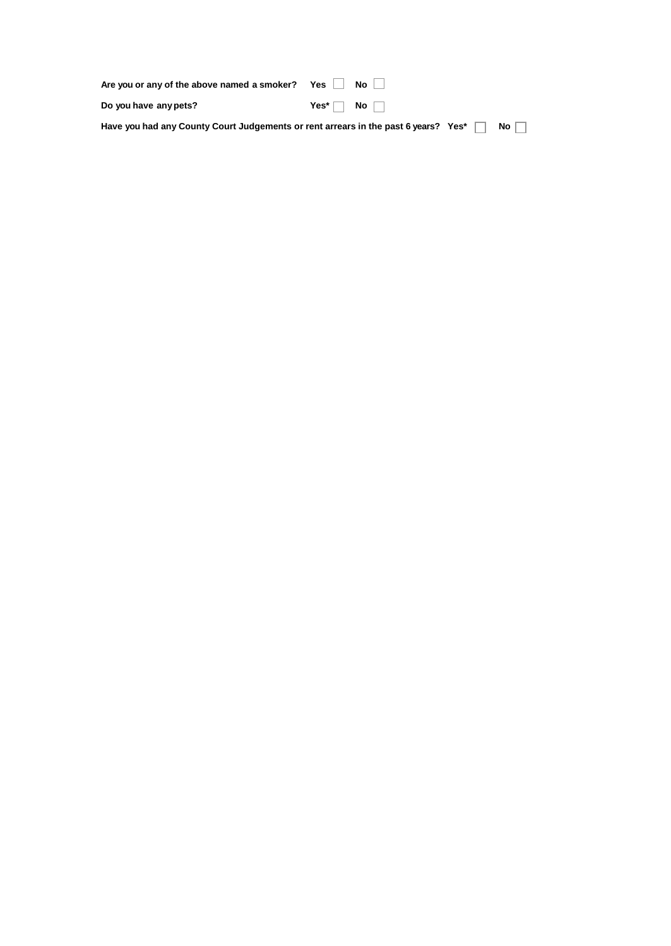| Are you or any of the above named a smoker? Yes $\Box$                                                        |                                   | $No$ $\perp$ |  |
|---------------------------------------------------------------------------------------------------------------|-----------------------------------|--------------|--|
| Do you have any pets?                                                                                         | Yes <sup>*</sup> $\Box$ No $\Box$ |              |  |
| Have you had any County Court Judgements or rent arrears in the past 6 years? Yes* $\ \cdot\ $ No $\ \cdot\ $ |                                   |              |  |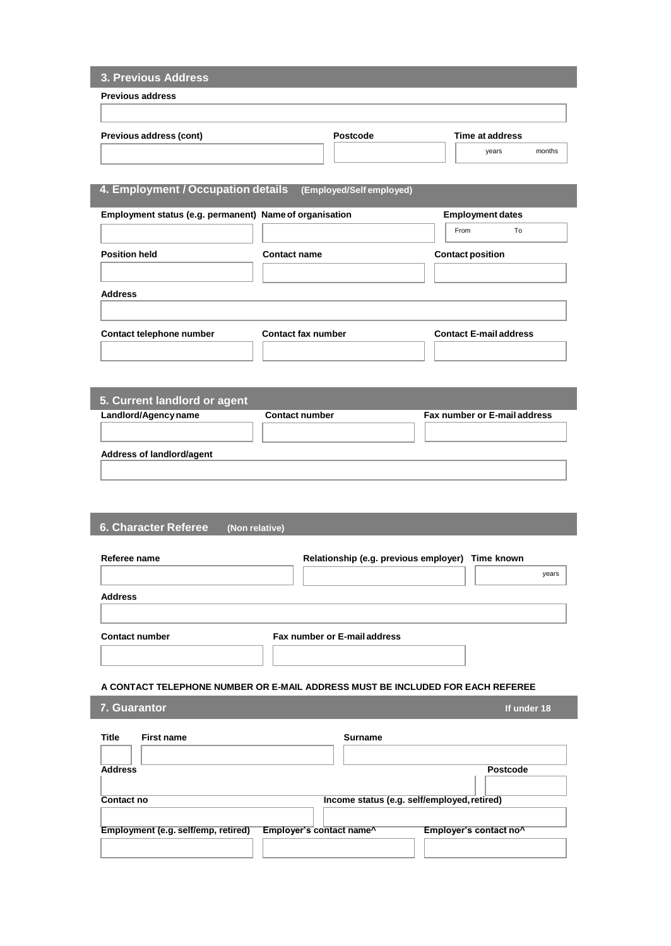| <b>Previous address</b>                                 |                                                                                |                                                  |
|---------------------------------------------------------|--------------------------------------------------------------------------------|--------------------------------------------------|
|                                                         |                                                                                |                                                  |
|                                                         |                                                                                |                                                  |
| Previous address (cont)                                 | Postcode                                                                       | Time at address                                  |
|                                                         |                                                                                | months<br>years                                  |
|                                                         |                                                                                |                                                  |
| 4. Employment / Occupation details                      | (Employed/Self employed)                                                       |                                                  |
|                                                         |                                                                                |                                                  |
| Employment status (e.g. permanent) Name of organisation |                                                                                | <b>Employment dates</b>                          |
|                                                         |                                                                                | From<br>To                                       |
| <b>Position held</b>                                    | <b>Contact name</b>                                                            | <b>Contact position</b>                          |
|                                                         |                                                                                |                                                  |
| <b>Address</b>                                          |                                                                                |                                                  |
|                                                         |                                                                                |                                                  |
|                                                         |                                                                                |                                                  |
| Contact telephone number                                | <b>Contact fax number</b>                                                      | <b>Contact E-mail address</b>                    |
|                                                         |                                                                                |                                                  |
|                                                         |                                                                                |                                                  |
|                                                         |                                                                                |                                                  |
| 5. Current landlord or agent<br>Landlord/Agency name    | <b>Contact number</b>                                                          | Fax number or E-mail address                     |
|                                                         |                                                                                |                                                  |
|                                                         |                                                                                |                                                  |
| Address of landlord/agent                               |                                                                                |                                                  |
|                                                         |                                                                                |                                                  |
|                                                         |                                                                                |                                                  |
|                                                         |                                                                                |                                                  |
| 6. Character Referee                                    | (Non relative)                                                                 |                                                  |
|                                                         |                                                                                |                                                  |
|                                                         |                                                                                |                                                  |
| Referee name                                            |                                                                                | Relationship (e.g. previous employer) Time known |
|                                                         |                                                                                | years                                            |
| <b>Address</b>                                          |                                                                                |                                                  |
|                                                         |                                                                                |                                                  |
|                                                         |                                                                                |                                                  |
| <b>Contact number</b>                                   | Fax number or E-mail address                                                   |                                                  |
|                                                         |                                                                                |                                                  |
|                                                         |                                                                                |                                                  |
|                                                         | A CONTACT TELEPHONE NUMBER OR E-MAIL ADDRESS MUST BE INCLUDED FOR EACH REFEREE |                                                  |
| 7. Guarantor                                            |                                                                                | If under 18                                      |
|                                                         |                                                                                |                                                  |
| <b>Title</b><br><b>First name</b>                       | Surname                                                                        |                                                  |
|                                                         |                                                                                | Postcode                                         |
| <b>Address</b>                                          |                                                                                |                                                  |
| Contact no                                              |                                                                                | Income status (e.g. self/employed, retired)      |
|                                                         |                                                                                |                                                  |
| Employment (e.g. self/emp, retired)                     | Employer's contact name^                                                       | Employer's contact no^                           |
|                                                         |                                                                                |                                                  |